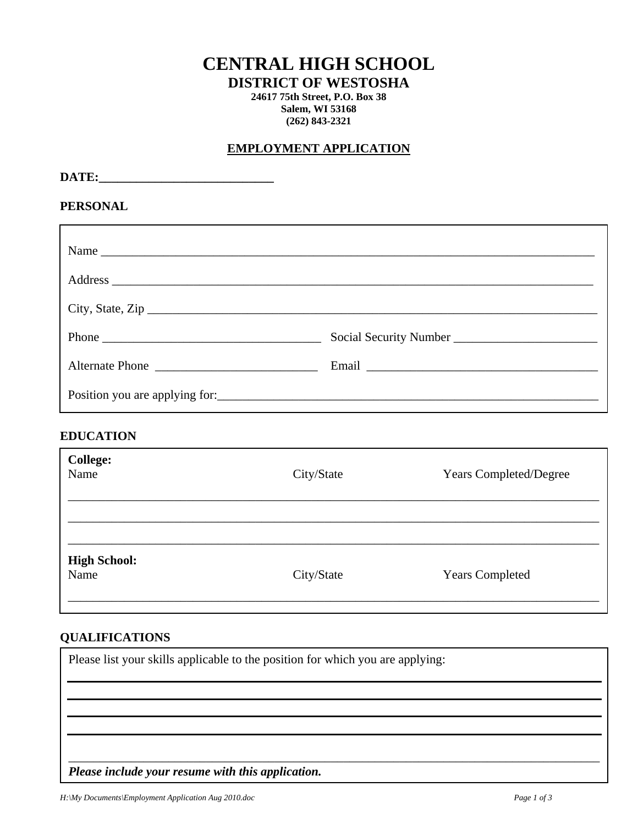# **CENTRAL HIGH SCHOOL**

**DISTRICT OF WESTOSHA** 

**24617 75th Street, P.O. Box 38 Salem, WI 53168 (262) 843-2321** 

## **EMPLOYMENT APPLICATION**

DATE:

#### **PERSONAL**

| Name             |  |
|------------------|--|
|                  |  |
| City, State, Zip |  |
| Phone            |  |
| Alternate Phone  |  |
|                  |  |

## **EDUCATION**

| <b>College:</b><br>Name     | City/State | <b>Years Completed/Degree</b> |
|-----------------------------|------------|-------------------------------|
|                             |            |                               |
| <b>High School:</b><br>Name | City/State | <b>Years Completed</b>        |

# **QUALIFICATIONS**

Please list your skills applicable to the position for which you are applying: \_\_\_\_\_\_\_\_\_\_\_\_\_\_\_\_\_\_\_\_\_\_\_\_\_\_\_\_\_\_\_\_\_\_\_\_\_\_\_\_\_\_\_\_\_\_\_\_\_\_\_\_\_\_\_\_\_\_\_\_\_\_\_\_\_\_\_\_\_\_\_\_\_\_\_\_\_\_\_\_\_\_\_\_\_ *Please include your resume with this application.*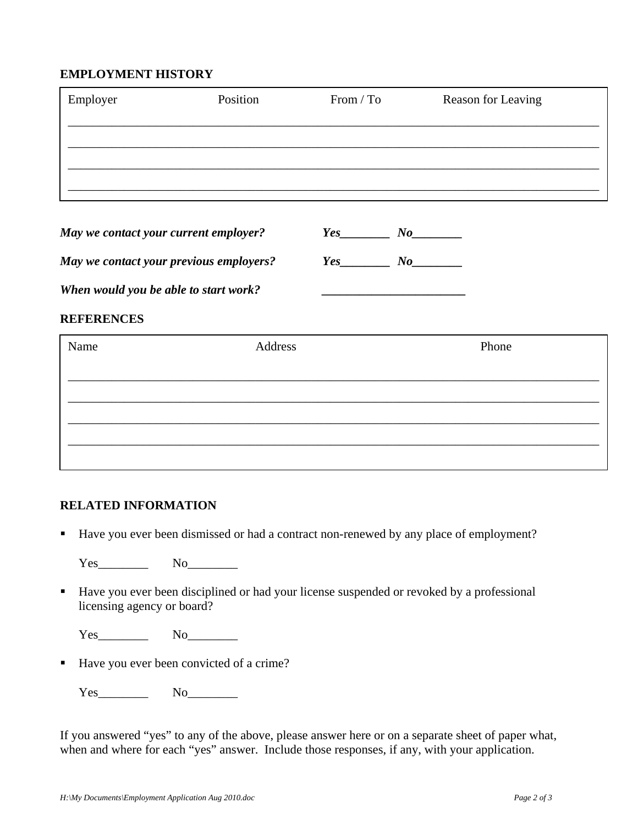## **EMPLOYMENT HISTORY**

| Employer | Position | From / To | Reason for Leaving |
|----------|----------|-----------|--------------------|
|          |          |           |                    |
|          |          |           |                    |
|          |          |           |                    |

| May we contact your current employer? | Yes |  |
|---------------------------------------|-----|--|
|                                       |     |  |

*May we contact your previous employers? Yes\_\_\_\_\_\_\_\_ No\_\_\_\_\_\_\_\_* 

When would you be able to start work?

#### **REFERENCES**

| Name | Address | Phone |
|------|---------|-------|
|      |         |       |
|      |         |       |
|      |         |       |
|      |         |       |

## **RELATED INFORMATION**

Have you ever been dismissed or had a contract non-renewed by any place of employment?

Yes No

Have you ever been disciplined or had your license suspended or revoked by a professional licensing agency or board?

Yes No

■ Have you ever been convicted of a crime?

Yes\_\_\_\_\_\_\_\_ No\_\_\_\_\_\_\_\_

If you answered "yes" to any of the above, please answer here or on a separate sheet of paper what, when and where for each "yes" answer. Include those responses, if any, with your application.